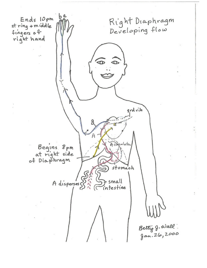